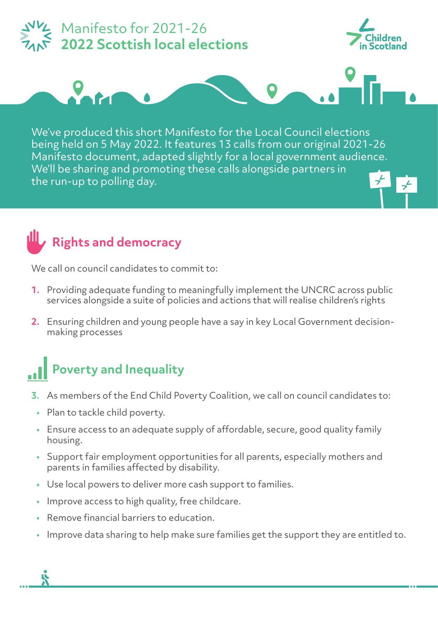

We'll be sharing and promoting these calls alongside partners in the run-up to polling day.

#### **Rights and democracy**

We call on council candidates to commit to:

- **1.** Providing adequate funding to meaningfully implement the UNCRC across public services alongside a suite of policies and actions that will realise children's rights
- **2.** Ensuring children and young people have a say in key Local Government decisionmaking processes

#### **Poverty and Inequality**

- **3.** As members of the End Child Poverty Coalition, we call on council candidates to:
	- **•** Plan to tackle child poverty.
	- **•** Ensure access to an adequate supply of affordable, secure, good quality family housing.
	- **•** Support fair employment opportunities for all parents, especially mothers and parents in families affected by disability.
	- **•** Use local powers to deliver more cash support to families.
	- **•** Improve access to high quality, free childcare.
	- **•** Remove financial barriers to education.
	- **•** Improve data sharing to help make sure families get the support they are entitled to.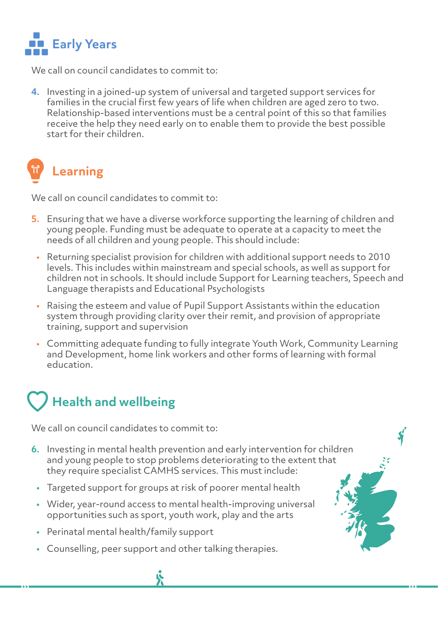

We call on council candidates to commit to:

**4.** Investing in a joined-up system of universal and targeted support services for families in the crucial first few years of life when children are aged zero to two. Relationship-based interventions must be a central point of this so that families receive the help they need early on to enable them to provide the best possible start for their children.

### **Learning**

We call on council candidates to commit to:

- **5.** Ensuring that we have a diverse workforce supporting the learning of children and young people. Funding must be adequate to operate at a capacity to meet the needs of all children and young people. This should include:
	- **•** Returning specialist provision for children with additional support needs to 2010 levels. This includes within mainstream and special schools, as well as support for children not in schools. It should include Support for Learning teachers, Speech and Language therapists and Educational Psychologists
	- **•** Raising the esteem and value of Pupil Support Assistants within the education system through providing clarity over their remit, and provision of appropriate training, support and supervision
	- **•** Committing adequate funding to fully integrate Youth Work, Community Learning and Development, home link workers and other forms of learning with formal education.

### **Health and wellbeing**

We call on council candidates to commit to:

- **6.** Investing in mental health prevention and early intervention for children and young people to stop problems deteriorating to the extent that they require specialist CAMHS services. This must include:
	- **•** Targeted support for groups at risk of poorer mental health
	- **•** Wider, year-round access to mental health-improving universal opportunities such as sport, youth work, play and the arts
	- **•** Perinatal mental health/family support
	- **•** Counselling, peer support and other talking therapies.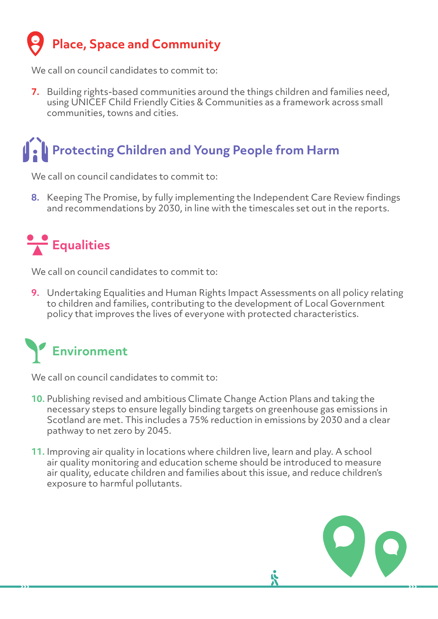## **Place, Space and Community**

We call on council candidates to commit to:

**7.** Building rights-based communities around the things children and families need, using UNICEF Child Friendly Cities & Communities as a framework across small communities, towns and cities.

## **Protecting Children and Young People from Harm**

We call on council candidates to commit to:

**8.** Keeping The Promise, by fully implementing the Independent Care Review findings and recommendations by 2030, in line with the timescales set out in the reports.

## **Equalities**

We call on council candidates to commit to:

**9.** Undertaking Equalities and Human Rights Impact Assessments on all policy relating to children and families, contributing to the development of Local Government policy that improves the lives of everyone with protected characteristics.

# **Environment**

We call on council candidates to commit to:

- **10.** Publishing revised and ambitious Climate Change Action Plans and taking the necessary steps to ensure legally binding targets on greenhouse gas emissions in Scotland are met. This includes a 75% reduction in emissions by 2030 and a clear pathway to net zero by 2045.
- **11.** Improving air quality in locations where children live, learn and play. A school air quality monitoring and education scheme should be introduced to measure air quality, educate children and families about this issue, and reduce children's exposure to harmful pollutants.